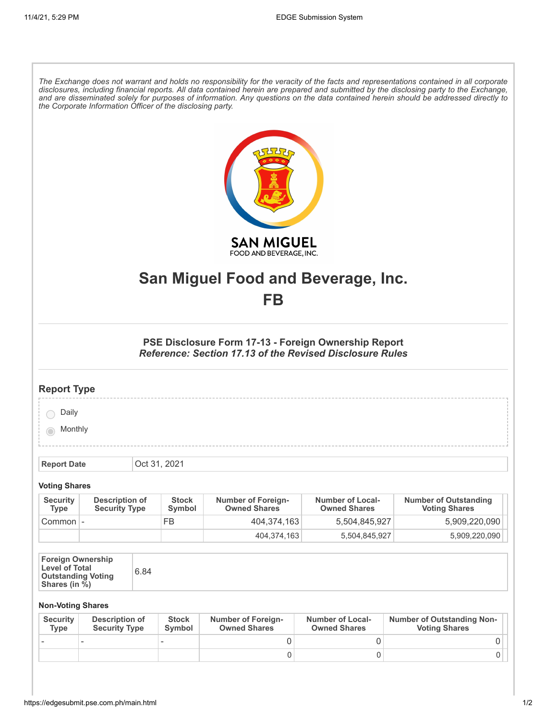| The Exchange does not warrant and holds no responsibility for the veracity of the facts and representations contained in all corporate<br>disclosures, including financial reports. All data contained herein are prepared and submitted by the disclosing party to the Exchange,<br>and are disseminated solely for purposes of information. Any questions on the data contained herein should be addressed directly to<br>the Corporate Information Officer of the disclosing party. |                                               |  |                        |                                                  |                                                |                                                           |  |  |
|----------------------------------------------------------------------------------------------------------------------------------------------------------------------------------------------------------------------------------------------------------------------------------------------------------------------------------------------------------------------------------------------------------------------------------------------------------------------------------------|-----------------------------------------------|--|------------------------|--------------------------------------------------|------------------------------------------------|-----------------------------------------------------------|--|--|
| <b>SAN MIGUEL</b>                                                                                                                                                                                                                                                                                                                                                                                                                                                                      |                                               |  |                        |                                                  |                                                |                                                           |  |  |
| FOOD AND BEVERAGE, INC.                                                                                                                                                                                                                                                                                                                                                                                                                                                                |                                               |  |                        |                                                  |                                                |                                                           |  |  |
| San Miguel Food and Beverage, Inc.                                                                                                                                                                                                                                                                                                                                                                                                                                                     |                                               |  |                        |                                                  |                                                |                                                           |  |  |
| FB                                                                                                                                                                                                                                                                                                                                                                                                                                                                                     |                                               |  |                        |                                                  |                                                |                                                           |  |  |
|                                                                                                                                                                                                                                                                                                                                                                                                                                                                                        |                                               |  |                        |                                                  |                                                |                                                           |  |  |
| PSE Disclosure Form 17-13 - Foreign Ownership Report<br><b>Reference: Section 17.13 of the Revised Disclosure Rules</b>                                                                                                                                                                                                                                                                                                                                                                |                                               |  |                        |                                                  |                                                |                                                           |  |  |
| <b>Report Type</b>                                                                                                                                                                                                                                                                                                                                                                                                                                                                     |                                               |  |                        |                                                  |                                                |                                                           |  |  |
| Daily                                                                                                                                                                                                                                                                                                                                                                                                                                                                                  |                                               |  |                        |                                                  |                                                |                                                           |  |  |
| Monthly                                                                                                                                                                                                                                                                                                                                                                                                                                                                                |                                               |  |                        |                                                  |                                                |                                                           |  |  |
|                                                                                                                                                                                                                                                                                                                                                                                                                                                                                        |                                               |  |                        |                                                  |                                                |                                                           |  |  |
| <b>Report Date</b>                                                                                                                                                                                                                                                                                                                                                                                                                                                                     |                                               |  | Oct 31, 2021           |                                                  |                                                |                                                           |  |  |
| <b>Voting Shares</b>                                                                                                                                                                                                                                                                                                                                                                                                                                                                   |                                               |  |                        |                                                  |                                                |                                                           |  |  |
| <b>Security</b><br><b>Type</b>                                                                                                                                                                                                                                                                                                                                                                                                                                                         | <b>Description of</b><br><b>Security Type</b> |  | <b>Stock</b><br>Symbol | <b>Number of Foreign-</b><br><b>Owned Shares</b> | <b>Number of Local-</b><br><b>Owned Shares</b> | <b>Number of Outstanding</b><br><b>Voting Shares</b>      |  |  |
| Common   -                                                                                                                                                                                                                                                                                                                                                                                                                                                                             |                                               |  | <b>FB</b>              | 404,374,163                                      | 5,504,845,927                                  | 5,909,220,090                                             |  |  |
|                                                                                                                                                                                                                                                                                                                                                                                                                                                                                        |                                               |  |                        | 404,374,163                                      | 5,504,845,927                                  | 5,909,220,090                                             |  |  |
| <b>Foreign Ownership</b><br><b>Level of Total</b><br>6.84<br><b>Outstanding Voting</b><br>Shares (in %)                                                                                                                                                                                                                                                                                                                                                                                |                                               |  |                        |                                                  |                                                |                                                           |  |  |
| <b>Non-Voting Shares</b>                                                                                                                                                                                                                                                                                                                                                                                                                                                               |                                               |  |                        |                                                  |                                                |                                                           |  |  |
| <b>Security</b><br><b>Type</b>                                                                                                                                                                                                                                                                                                                                                                                                                                                         | <b>Description of</b><br><b>Security Type</b> |  | <b>Stock</b><br>Symbol | <b>Number of Foreign-</b><br><b>Owned Shares</b> | <b>Number of Local-</b><br><b>Owned Shares</b> | <b>Number of Outstanding Non-</b><br><b>Voting Shares</b> |  |  |

- - - 0 0 0

 $\begin{array}{ccc} \vert & 0 \vert & 0 \vert & 0 \end{array}$